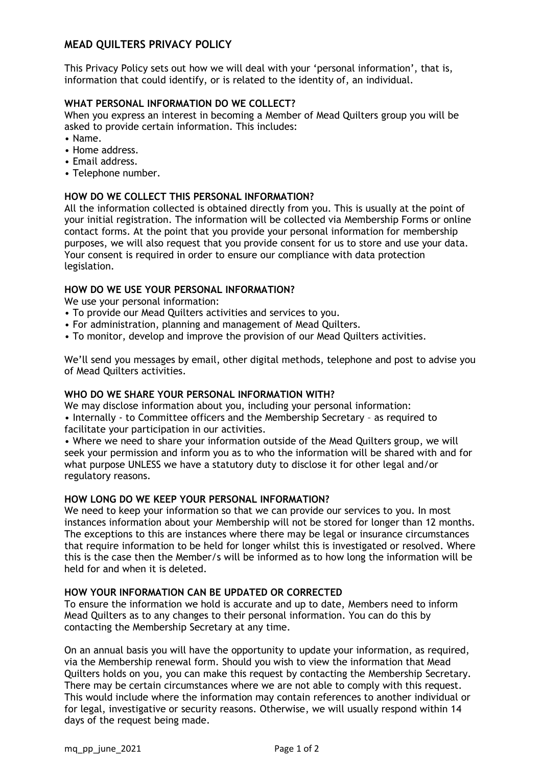# **MEAD QUILTERS PRIVACY POLICY**

This Privacy Policy sets out how we will deal with your 'personal information', that is, information that could identify, or is related to the identity of, an individual.

# **WHAT PERSONAL INFORMATION DO WE COLLECT?**

When you express an interest in becoming a Member of Mead Quilters group you will be asked to provide certain information. This includes:

- Name.
- Home address.
- Email address.
- Telephone number.

### **HOW DO WE COLLECT THIS PERSONAL INFORMATION?**

All the information collected is obtained directly from you. This is usually at the point of your initial registration. The information will be collected via Membership Forms or online contact forms. At the point that you provide your personal information for membership purposes, we will also request that you provide consent for us to store and use your data. Your consent is required in order to ensure our compliance with data protection legislation.

### **HOW DO WE USE YOUR PERSONAL INFORMATION?**

We use your personal information:

- To provide our Mead Quilters activities and services to you.
- For administration, planning and management of Mead Quilters.
- To monitor, develop and improve the provision of our Mead Quilters activities.

We'll send you messages by email, other digital methods, telephone and post to advise you of Mead Quilters activities.

## **WHO DO WE SHARE YOUR PERSONAL INFORMATION WITH?**

We may disclose information about you, including your personal information: • Internally - to Committee officers and the Membership Secretary – as required to facilitate your participation in our activities.

• Where we need to share your information outside of the Mead Quilters group, we will seek your permission and inform you as to who the information will be shared with and for what purpose UNLESS we have a statutory duty to disclose it for other legal and/or regulatory reasons.

#### **HOW LONG DO WE KEEP YOUR PERSONAL INFORMATION?**

We need to keep your information so that we can provide our services to you. In most instances information about your Membership will not be stored for longer than 12 months. The exceptions to this are instances where there may be legal or insurance circumstances that require information to be held for longer whilst this is investigated or resolved. Where this is the case then the Member/s will be informed as to how long the information will be held for and when it is deleted.

#### **HOW YOUR INFORMATION CAN BE UPDATED OR CORRECTED**

To ensure the information we hold is accurate and up to date, Members need to inform Mead Quilters as to any changes to their personal information. You can do this by contacting the Membership Secretary at any time.

On an annual basis you will have the opportunity to update your information, as required, via the Membership renewal form. Should you wish to view the information that Mead Quilters holds on you, you can make this request by contacting the Membership Secretary. There may be certain circumstances where we are not able to comply with this request. This would include where the information may contain references to another individual or for legal, investigative or security reasons. Otherwise, we will usually respond within 14 days of the request being made.